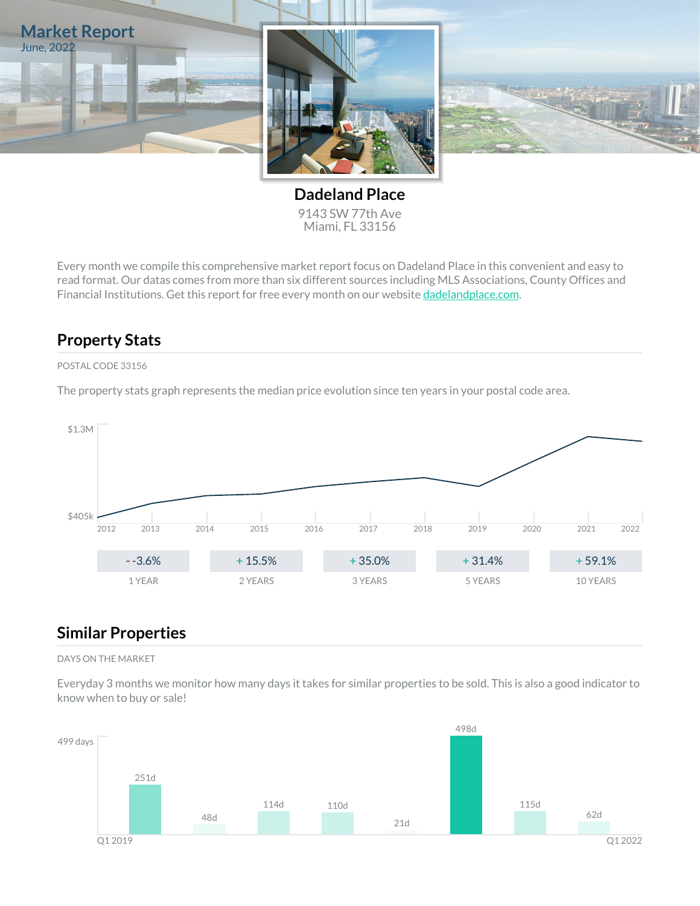

**Dadeland Place** 9143 SW 77th Ave Miami, FL 33156

Every month we compile this comprehensive market report focus on Dadeland Place in this convenient and easy to read format. Our datas comes from more than six different sources including MLS Associations, County Offices and Financial Institutions. Get this report for free every month on our website [dadelandplace.com](https://dadelandplace.com).

## **Property Stats**

#### POSTAL CODE 33156

The property stats graph represents the median price evolution since ten years in your postal code area.



### **Similar Properties**

#### DAYS ON THE MARKET

Everyday 3 months we monitor how many days it takes for similar properties to be sold. This is also a good indicator to know when to buy or sale!

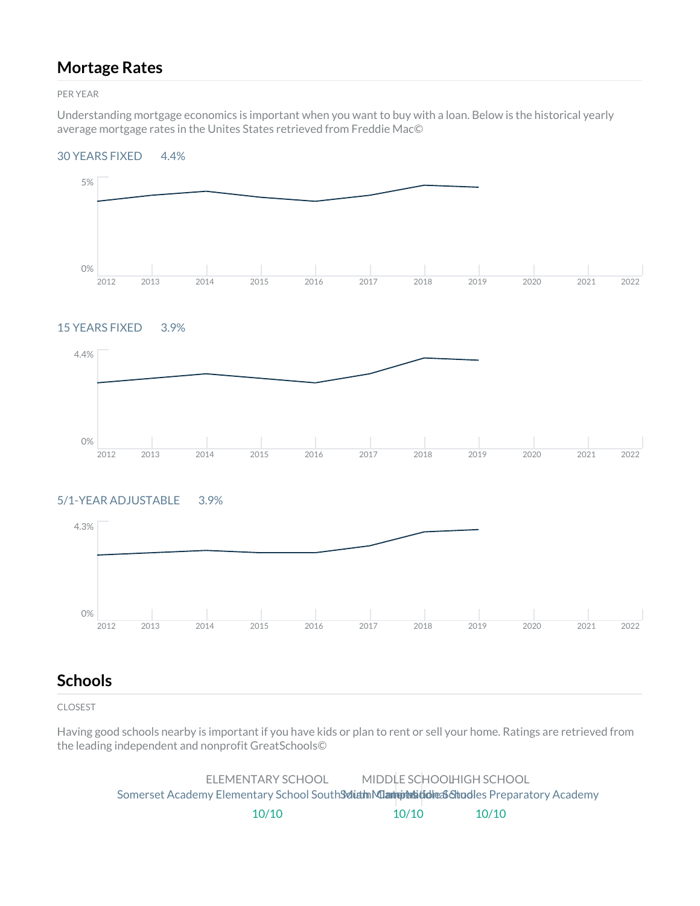### **Mortage Rates**

PER YEAR

Understanding mortgage economics is important when you want to buy with a loan. Below is the historical yearly average mortgage rates in the Unites States retrieved from Freddie Mac©

#### 30 YEARS FIXED 4.4%



### 15 YEARS FIXED 3.9%



#### 5/1-YEAR ADJUSTABLE 3.9%



### **Schools**

CLOSEST

Having good schools nearby is important if you have kids or plan to rent or sell your home. Ratings are retrieved from the leading independent and nonprofit GreatSchools©

> ELEMENTARY SCHOOL Somerset Academy Elementary School South Solith Miam in Miami Charles Schooles Preparatory Academy 10/10 MIDDLE SCHOOL HIGH SCHOOL 10/10 10/10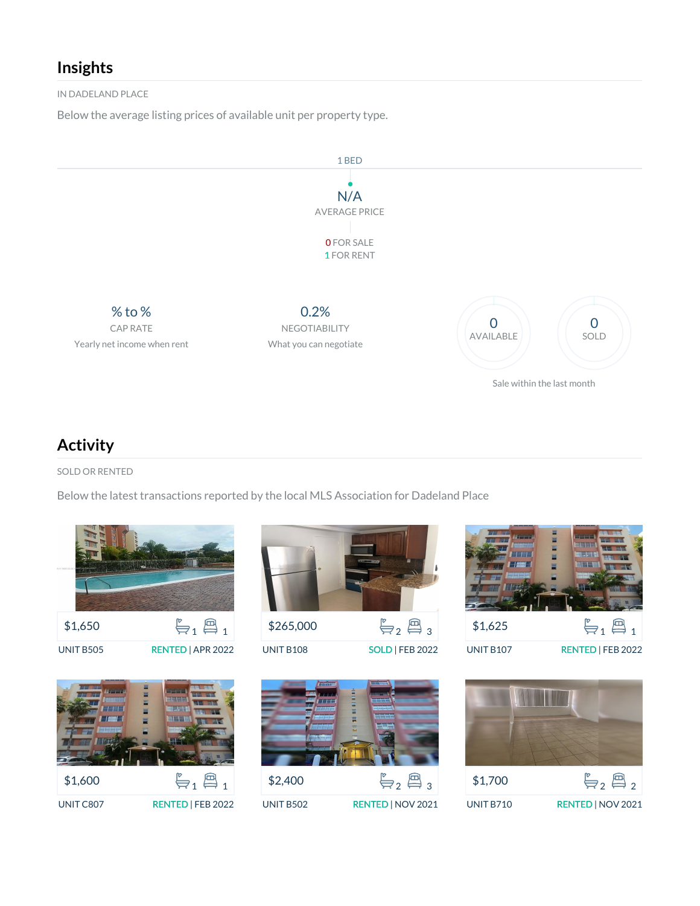## **Insights**

IN DADELAND PLACE

Below the average listing prices of available unit per property type.



## **Activity**

SOLD OR RENTED

Below the latest transactions reported by the local MLS Association for Dadeland Place





\$265,000  $\mathbb{F}_{2}$   $\mathbb{B}_{3}$ 

UNIT B108 SOLD | FEB 2022



\$2,400  $\mathfrak{g}_2 \overset{\circ}{\oplus}_2 \mathfrak{g}_3$ UNIT B502 RENTED | NOV 2021



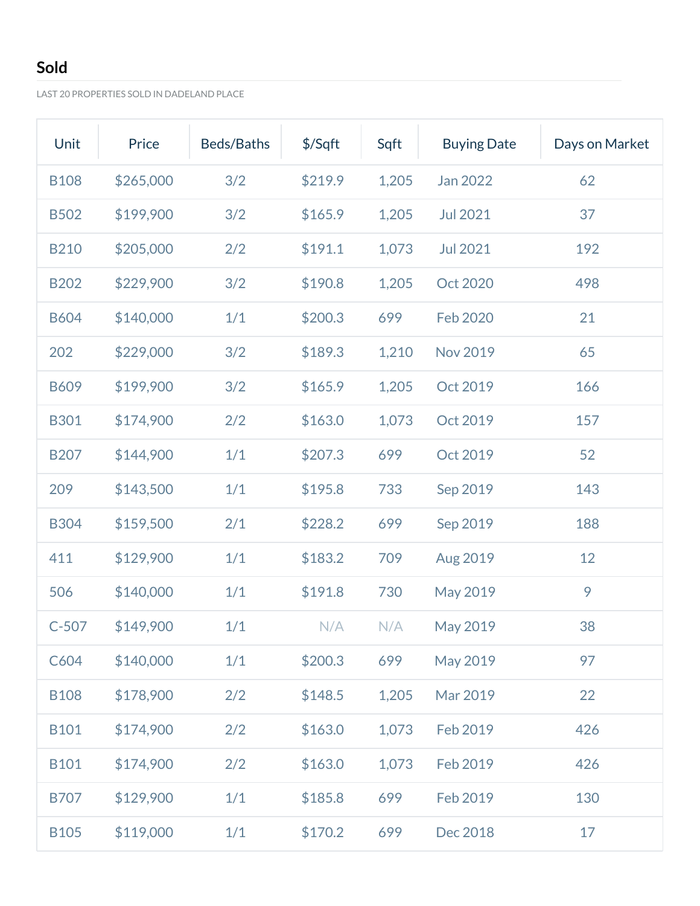## **Sold**

LAST 20 PROPERTIES SOLD IN DADELAND PLACE

| Unit        | Price     | Beds/Baths | \$/Sqft | Sqft  | <b>Buying Date</b> | Days on Market |
|-------------|-----------|------------|---------|-------|--------------------|----------------|
| <b>B108</b> | \$265,000 | 3/2        | \$219.9 | 1,205 | Jan 2022           | 62             |
| <b>B502</b> | \$199,900 | 3/2        | \$165.9 | 1,205 | <b>Jul 2021</b>    | 37             |
| <b>B210</b> | \$205,000 | 2/2        | \$191.1 | 1,073 | <b>Jul 2021</b>    | 192            |
| <b>B202</b> | \$229,900 | 3/2        | \$190.8 | 1,205 | Oct 2020           | 498            |
| <b>B604</b> | \$140,000 | 1/1        | \$200.3 | 699   | Feb 2020           | 21             |
| 202         | \$229,000 | 3/2        | \$189.3 | 1,210 | <b>Nov 2019</b>    | 65             |
| <b>B609</b> | \$199,900 | 3/2        | \$165.9 | 1,205 | Oct 2019           | 166            |
| <b>B301</b> | \$174,900 | 2/2        | \$163.0 | 1,073 | Oct 2019           | 157            |
| <b>B207</b> | \$144,900 | 1/1        | \$207.3 | 699   | Oct 2019           | 52             |
| 209         | \$143,500 | 1/1        | \$195.8 | 733   | Sep 2019           | 143            |
| <b>B304</b> | \$159,500 | 2/1        | \$228.2 | 699   | Sep 2019           | 188            |
| 411         | \$129,900 | 1/1        | \$183.2 | 709   | Aug 2019           | 12             |
| 506         | \$140,000 | 1/1        | \$191.8 | 730   | May 2019           | 9              |
| $C-507$     | \$149,900 | 1/1        | N/A     | N/A   | May 2019           | 38             |
| C604        | \$140,000 | 1/1        | \$200.3 | 699   | May 2019           | 97             |
| <b>B108</b> | \$178,900 | 2/2        | \$148.5 | 1,205 | Mar 2019           | 22             |
| <b>B101</b> | \$174,900 | 2/2        | \$163.0 | 1,073 | Feb 2019           | 426            |
| <b>B101</b> | \$174,900 | 2/2        | \$163.0 | 1,073 | Feb 2019           | 426            |
| <b>B707</b> | \$129,900 | 1/1        | \$185.8 | 699   | Feb 2019           | 130            |
| <b>B105</b> | \$119,000 | 1/1        | \$170.2 | 699   | Dec 2018           | 17             |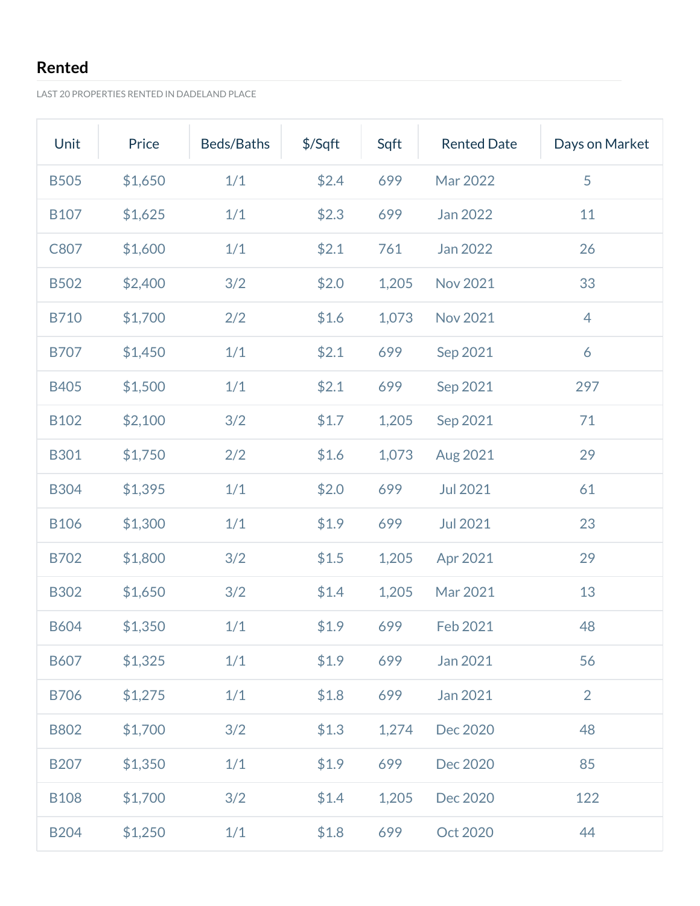## **Rented**

LAST 20 PROPERTIES RENTED IN DADELAND PLACE

| Unit        | Price   | Beds/Baths | $$$ /Sqft | Sqft  | <b>Rented Date</b> | Days on Market |
|-------------|---------|------------|-----------|-------|--------------------|----------------|
| <b>B505</b> | \$1,650 | 1/1        | \$2.4     | 699   | Mar 2022           | 5              |
| <b>B107</b> | \$1,625 | 1/1        | \$2.3     | 699   | Jan 2022           | 11             |
| C807        | \$1,600 | 1/1        | \$2.1     | 761   | Jan 2022           | 26             |
| <b>B502</b> | \$2,400 | 3/2        | \$2.0     | 1,205 | <b>Nov 2021</b>    | 33             |
| <b>B710</b> | \$1,700 | 2/2        | \$1.6     | 1,073 | <b>Nov 2021</b>    | 4              |
| <b>B707</b> | \$1,450 | 1/1        | \$2.1     | 699   | Sep 2021           | 6              |
| <b>B405</b> | \$1,500 | 1/1        | \$2.1     | 699   | Sep 2021           | 297            |
| <b>B102</b> | \$2,100 | 3/2        | \$1.7     | 1,205 | Sep 2021           | 71             |
| <b>B301</b> | \$1,750 | 2/2        | \$1.6     | 1,073 | Aug 2021           | 29             |
| <b>B304</b> | \$1,395 | 1/1        | \$2.0     | 699   | <b>Jul 2021</b>    | 61             |
| <b>B106</b> | \$1,300 | 1/1        | \$1.9     | 699   | <b>Jul 2021</b>    | 23             |
| <b>B702</b> | \$1,800 | 3/2        | \$1.5     | 1,205 | Apr 2021           | 29             |
| <b>B302</b> | \$1,650 | 3/2        | \$1.4     | 1,205 | Mar 2021           | 13             |
| <b>B604</b> | \$1,350 | 1/1        | \$1.9     | 699   | Feb 2021           | 48             |
| <b>B607</b> | \$1,325 | 1/1        | \$1.9     | 699   | Jan 2021           | 56             |
| <b>B706</b> | \$1,275 | 1/1        | \$1.8     | 699   | Jan 2021           | $\overline{2}$ |
| <b>B802</b> | \$1,700 | 3/2        | \$1.3     | 1,274 | Dec 2020           | 48             |
| <b>B207</b> | \$1,350 | 1/1        | \$1.9     | 699   | Dec 2020           | 85             |
| <b>B108</b> | \$1,700 | 3/2        | \$1.4     | 1,205 | Dec 2020           | 122            |
| <b>B204</b> | \$1,250 | $1/1$      | \$1.8     | 699   | Oct 2020           | 44             |